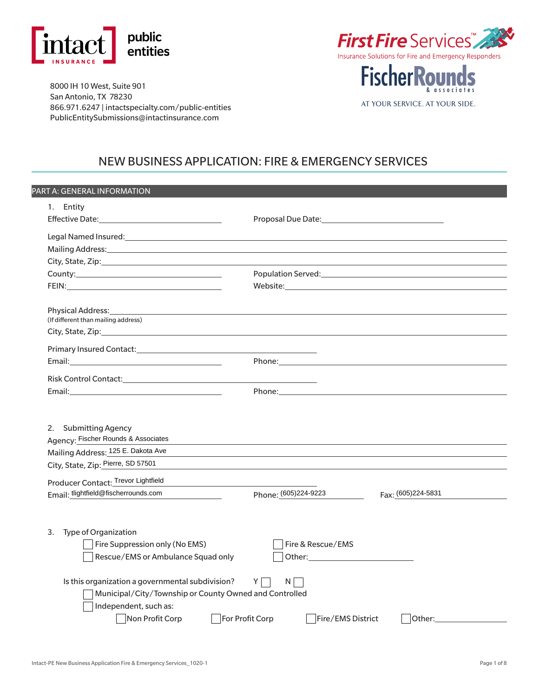



**FischerRounds** 

AT YOUR SERVICE. AT YOUR SIDE.

& associates

8000 IH 10 West, Suite 901 San Antonio, TX 78230 866.971.6247 | <intactspecialty.com/public-entities> PublicEntitySubmissions@intactinsurance.com

## NEW BUSINESS APPLICATION: FIRE & EMERGENCY SERVICES

| PART A: GENERAL INFORMATION                                                                                                                                                                                                    |                                                                                                                                                                                                                                                     |
|--------------------------------------------------------------------------------------------------------------------------------------------------------------------------------------------------------------------------------|-----------------------------------------------------------------------------------------------------------------------------------------------------------------------------------------------------------------------------------------------------|
| 1. Entity                                                                                                                                                                                                                      |                                                                                                                                                                                                                                                     |
|                                                                                                                                                                                                                                |                                                                                                                                                                                                                                                     |
| Legal Named Insured: Named Service Services and Services and Services and Services and Services and Services and Services and Services and Services and Services and Services and Services and Services and Services and Servi |                                                                                                                                                                                                                                                     |
|                                                                                                                                                                                                                                |                                                                                                                                                                                                                                                     |
|                                                                                                                                                                                                                                |                                                                                                                                                                                                                                                     |
|                                                                                                                                                                                                                                | Population Served: National According to the Contract of the Contract of the Contract of the Contract of the Contract of the Contract of the Contract of the Contract of the Contract of the Contract of the Contract of the C                      |
|                                                                                                                                                                                                                                |                                                                                                                                                                                                                                                     |
|                                                                                                                                                                                                                                |                                                                                                                                                                                                                                                     |
| (If different than mailing address)                                                                                                                                                                                            |                                                                                                                                                                                                                                                     |
| City, State, Zip: 2008. The contract of the contract of the contract of the contract of the contract of the contract of the contract of the contract of the contract of the contract of the contract of the contract of the co |                                                                                                                                                                                                                                                     |
| Primary Insured Contact: National Context of the Context of the Context of the Context of the Context of the C                                                                                                                 |                                                                                                                                                                                                                                                     |
| Email: Email: All and the state of the state of the state of the state of the state of the state of the state of the state of the state of the state of the state of the state of the state of the state of the state of the s | Phone: The contract of the contract of the contract of the contract of the contract of the contract of the contract of the contract of the contract of the contract of the contract of the contract of the contract of the con                      |
| Risk Control Contact: National Context of Secretary Angle Secretary Angle Secretary Angle Secretary Angle Secretary Angle Secretary Angle Secretary Angle Secretary Angle Secretary Angle Secretary Angle Secretary Angle Secr |                                                                                                                                                                                                                                                     |
| Email: Email: All and the state of the state of the state of the state of the state of the state of the state of the state of the state of the state of the state of the state of the state of the state of the state of the s |                                                                                                                                                                                                                                                     |
| 2. Submitting Agency<br>Agency: Fischer Rounds & Associates<br>Mailing Address: 125 E. Dakota Ave<br>City, State, Zip: Pierre, SD 57501                                                                                        | <u> 1989 - Johann Stoff, deutscher Stoffen und der Stoffen und der Stoffen und der Stoffen und der Stoffen und de</u>                                                                                                                               |
| Producer Contact: Trevor Lightfield                                                                                                                                                                                            |                                                                                                                                                                                                                                                     |
| Email: tlightfield@fischerrounds.com<br>and the company of the company                                                                                                                                                         | Phone: (605)224-9223<br>Fax: (605)224-5831                                                                                                                                                                                                          |
| 3.<br>Type of Organization<br>$\Box$ Fire Suppression only (No EMS)<br>Rescue/EMS or Ambulance Squad only                                                                                                                      | Fire & Rescue/EMS<br>Other: will be a state of the state of the state of the state of the state of the state of the state of the state of the state of the state of the state of the state of the state of the state of the state of the state of t |
|                                                                                                                                                                                                                                |                                                                                                                                                                                                                                                     |
| Is this organization a governmental subdivision?<br>Municipal/City/Township or County Owned and Controlled<br>Independent, such as:                                                                                            | Y<br>$N \Box$                                                                                                                                                                                                                                       |
| Non Profit Corp                                                                                                                                                                                                                | For Profit Corp<br>Fire/EMS District<br>Other:_                                                                                                                                                                                                     |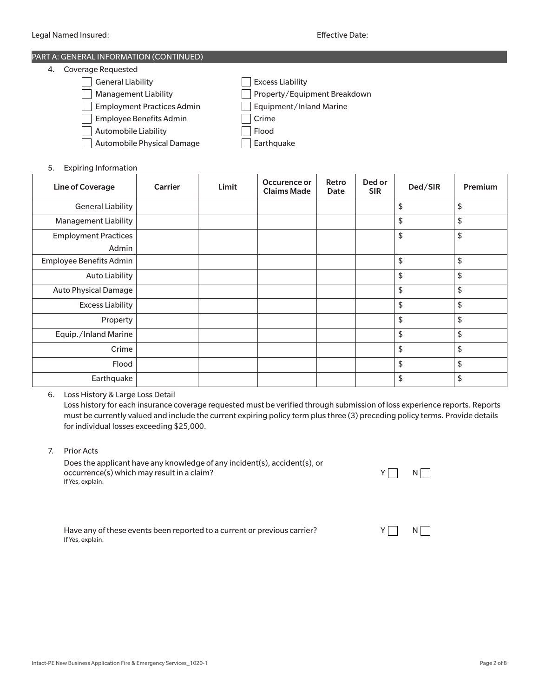# PART A: GENERAL INFORMATION (CONTINUED)

| 4. | <b>Coverage Requested</b>         |                              |
|----|-----------------------------------|------------------------------|
|    | <b>General Liability</b>          | <b>Excess Liability</b>      |
|    | <b>Management Liability</b>       | Property/Equipment Breakdown |
|    | <b>Employment Practices Admin</b> | Equipment/Inland Marine      |
|    | Employee Benefits Admin           | Crime                        |
|    | Automobile Liability              | Flood                        |
|    | Automobile Physical Damage        | Earthquake                   |
|    |                                   |                              |

5. Expiring Information

| <b>Line of Coverage</b>              | <b>Carrier</b> | Limit | Occurence or<br><b>Claims Made</b> | Retro<br>Date | Ded or<br><b>SIR</b> | Ded/SIR | Premium |
|--------------------------------------|----------------|-------|------------------------------------|---------------|----------------------|---------|---------|
| <b>General Liability</b>             |                |       |                                    |               |                      | \$      | \$      |
| <b>Management Liability</b>          |                |       |                                    |               |                      | \$      | \$      |
| <b>Employment Practices</b><br>Admin |                |       |                                    |               |                      | \$      | \$      |
| Employee Benefits Admin              |                |       |                                    |               |                      | \$      | \$      |
| <b>Auto Liability</b>                |                |       |                                    |               |                      | \$      | \$      |
| <b>Auto Physical Damage</b>          |                |       |                                    |               |                      | \$      | \$      |
| <b>Excess Liability</b>              |                |       |                                    |               |                      | \$      | \$      |
| Property                             |                |       |                                    |               |                      | \$      | \$      |
| Equip./Inland Marine                 |                |       |                                    |               |                      | \$      | \$      |
| Crime                                |                |       |                                    |               |                      | \$      | \$      |
| Flood                                |                |       |                                    |               |                      | \$      | \$      |
| Earthquake                           |                |       |                                    |               |                      | \$      | \$      |

6. Loss History & Large Loss Detail

Loss history for each insurance coverage requested must be verified through submission of loss experience reports. Reports must be currently valued and include the current expiring policy term plus three (3) preceding policy terms. Provide details for individual losses exceeding \$25,000.

7. Prior Acts

Does the applicant have any knowledge of any incident(s), accident(s), or occurrence(s) which may result in a claim? Y Next Assembly that the state of the Next Assembly Next Assembly N If Yes, explain.

|--|--|

Have any of these events been reported to a current or previous carrier?  $Y \cap N$ If Yes, explain.

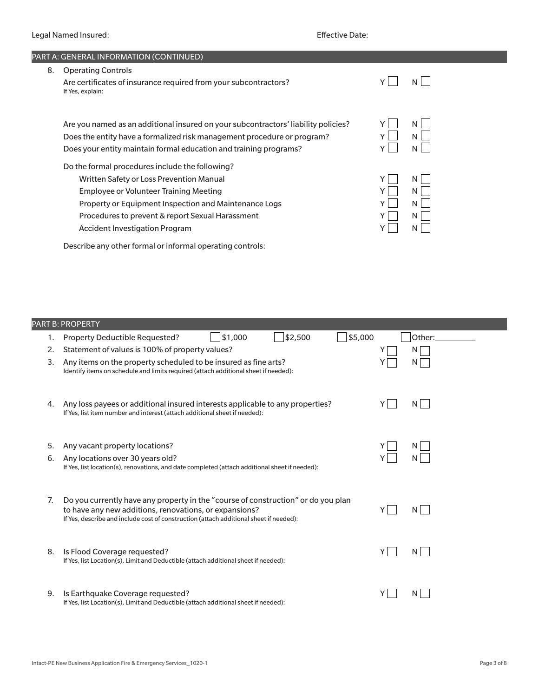|    | PART A: GENERAL INFORMATION (CONTINUED)                                                                                                                                                                                                                                                            |  |                       |  |  |  |
|----|----------------------------------------------------------------------------------------------------------------------------------------------------------------------------------------------------------------------------------------------------------------------------------------------------|--|-----------------------|--|--|--|
| 8. | <b>Operating Controls</b>                                                                                                                                                                                                                                                                          |  |                       |  |  |  |
|    | Are certificates of insurance required from your subcontractors?<br>If Yes, explain:                                                                                                                                                                                                               |  |                       |  |  |  |
|    | Are you named as an additional insured on your subcontractors' liability policies?<br>Does the entity have a formalized risk management procedure or program?<br>Does your entity maintain formal education and training programs?                                                                 |  | N<br>N<br>N           |  |  |  |
|    | Do the formal procedures include the following?<br>Written Safety or Loss Prevention Manual<br><b>Employee or Volunteer Training Meeting</b><br>Property or Equipment Inspection and Maintenance Logs<br>Procedures to prevent & report Sexual Harassment<br><b>Accident Investigation Program</b> |  | N<br>N<br>N<br>N<br>N |  |  |  |
|    | Describe any other formal or informal operating controls:                                                                                                                                                                                                                                          |  |                       |  |  |  |

|    | <b>PART B: PROPERTY</b>                                                                                                                                                                                                               |        |
|----|---------------------------------------------------------------------------------------------------------------------------------------------------------------------------------------------------------------------------------------|--------|
| 1. | \$2,500<br>\$5,000<br>\$1,000<br>Property Deductible Requested?                                                                                                                                                                       | Other: |
| 2. | Statement of values is 100% of property values?                                                                                                                                                                                       |        |
| 3. | Any items on the property scheduled to be insured as fine arts?<br>Identify items on schedule and limits required (attach additional sheet if needed):                                                                                | N      |
| 4. | Any loss payees or additional insured interests applicable to any properties?<br>If Yes, list item number and interest (attach additional sheet if needed):                                                                           | N      |
| 5. | Any vacant property locations?                                                                                                                                                                                                        |        |
| 6. | Any locations over 30 years old?<br>If Yes, list location(s), renovations, and date completed (attach additional sheet if needed):                                                                                                    |        |
| 7. | Do you currently have any property in the "course of construction" or do you plan<br>to have any new additions, renovations, or expansions?<br>If Yes, describe and include cost of construction (attach additional sheet if needed): | N      |
| 8. | Is Flood Coverage requested?<br>If Yes, list Location(s), Limit and Deductible (attach additional sheet if needed):                                                                                                                   | N      |
| 9. | Is Earthquake Coverage requested?<br>If Yes, list Location(s), Limit and Deductible (attach additional sheet if needed):                                                                                                              |        |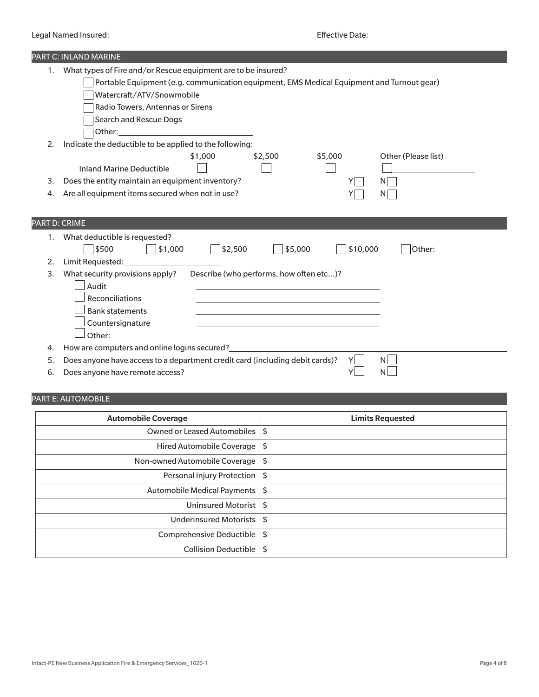|                      | PART C: INLAND MARINE                                                                                                                                                                                                                                                                                                                                 |
|----------------------|-------------------------------------------------------------------------------------------------------------------------------------------------------------------------------------------------------------------------------------------------------------------------------------------------------------------------------------------------------|
| 1.                   | What types of Fire and/or Rescue equipment are to be insured?                                                                                                                                                                                                                                                                                         |
|                      | Portable Equipment (e.g. communication equipment, EMS Medical Equipment and Turnout gear)                                                                                                                                                                                                                                                             |
|                      | Watercraft/ATV/Snowmobile                                                                                                                                                                                                                                                                                                                             |
|                      | Radio Towers, Antennas or Sirens                                                                                                                                                                                                                                                                                                                      |
|                      | Search and Rescue Dogs                                                                                                                                                                                                                                                                                                                                |
|                      |                                                                                                                                                                                                                                                                                                                                                       |
| 2.                   | Indicate the deductible to be applied to the following:                                                                                                                                                                                                                                                                                               |
|                      | \$1,000<br>\$2,500<br>\$5,000<br>Other (Please list)                                                                                                                                                                                                                                                                                                  |
|                      | <b>Inland Marine Deductible</b>                                                                                                                                                                                                                                                                                                                       |
| 3.                   | Does the entity maintain an equipment inventory?<br>ΝI                                                                                                                                                                                                                                                                                                |
| 4.                   | Are all equipment items secured when not in use?<br>ΝI                                                                                                                                                                                                                                                                                                |
|                      |                                                                                                                                                                                                                                                                                                                                                       |
|                      |                                                                                                                                                                                                                                                                                                                                                       |
| <b>PART D: CRIME</b> |                                                                                                                                                                                                                                                                                                                                                       |
| 1.                   | What deductible is requested?                                                                                                                                                                                                                                                                                                                         |
|                      | \$500<br>\$2,500<br>\$5,000<br>  \$1,000<br>\$10,000<br>Other: and the control of the control of the control of the control of the control of the control of the control of the control of the control of the control of the control of the control of the control of the control of t                                                                |
| 2.                   |                                                                                                                                                                                                                                                                                                                                                       |
| 3.                   | Describe (who performs, how often etc)?<br>What security provisions apply?                                                                                                                                                                                                                                                                            |
|                      | Audit                                                                                                                                                                                                                                                                                                                                                 |
|                      | Reconciliations<br>and the control of the control of the control of the control of the control of the control of the control of the                                                                                                                                                                                                                   |
|                      | <b>Bank statements</b>                                                                                                                                                                                                                                                                                                                                |
|                      | Countersignature<br>the control of the control of the control of the control of the control of the control of                                                                                                                                                                                                                                         |
|                      | Other: and the control of the control of the control of the control of the control of the control of the control of the control of the control of the control of the control of the control of the control of the control of t<br><u> 1989 - Johann Barn, mars eta bainar eta baina eta baina eta baina eta baina eta baina eta baina eta baina e</u> |
| 4.                   | How are computers and online logins secured?<br><u>Letter and set also are also and online logins</u> secured?                                                                                                                                                                                                                                        |
| 5.                   | Does anyone have access to a department credit card (including debit cards)?                                                                                                                                                                                                                                                                          |
| 6.                   | Does anyone have remote access?<br>Y                                                                                                                                                                                                                                                                                                                  |

### PART E: AUTOMOBILE

| <b>Automobile Coverage</b>    | <b>Limits Requested</b> |
|-------------------------------|-------------------------|
| Owned or Leased Automobiles   | \$                      |
| Hired Automobile Coverage     | \$                      |
| Non-owned Automobile Coverage | \$                      |
| Personal Injury Protection    | -\$                     |
| Automobile Medical Payments   | \$                      |
| Uninsured Motorist            | -\$                     |
| Underinsured Motorists        | \$                      |
| Comprehensive Deductible      | \$                      |
| Collision Deductible          | \$                      |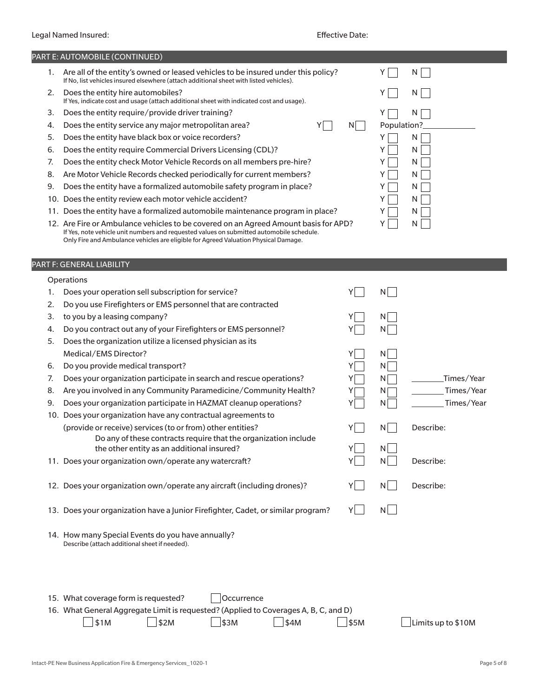|    | PART E: AUTOMOBILE (CONTINUED)                                                                                                                                                                                                                                         |            |                    |
|----|------------------------------------------------------------------------------------------------------------------------------------------------------------------------------------------------------------------------------------------------------------------------|------------|--------------------|
| 1. | Are all of the entity's owned or leased vehicles to be insured under this policy?<br>If No, list vehicles insured elsewhere (attach additional sheet with listed vehicles).                                                                                            |            | Y.<br>N            |
| 2. | Does the entity hire automobiles?<br>If Yes, indicate cost and usage (attach additional sheet with indicated cost and usage).                                                                                                                                          |            | N  <br>Y.          |
| 3. | Does the entity require/provide driver training?                                                                                                                                                                                                                       |            | N<br>Y             |
| 4. | Does the entity service any major metropolitan area?<br>Y                                                                                                                                                                                                              | N          | Population?        |
| 5. | Does the entity have black box or voice recorders?                                                                                                                                                                                                                     |            | N<br>Y             |
| 6. | Does the entity require Commercial Drivers Licensing (CDL)?                                                                                                                                                                                                            |            | Y<br>N             |
| 7. | Does the entity check Motor Vehicle Records on all members pre-hire?                                                                                                                                                                                                   |            | Y<br>N             |
| 8. | Are Motor Vehicle Records checked periodically for current members?                                                                                                                                                                                                    |            | N<br>Y             |
| 9. | Does the entity have a formalized automobile safety program in place?                                                                                                                                                                                                  |            | N<br>Y             |
|    | 10. Does the entity review each motor vehicle accident?                                                                                                                                                                                                                |            | N<br>Y             |
|    | 11. Does the entity have a formalized automobile maintenance program in place?                                                                                                                                                                                         |            | N                  |
|    | 12. Are Fire or Ambulance vehicles to be covered on an Agreed Amount basis for APD?<br>If Yes, note vehicle unit numbers and requested values on submitted automobile schedule.<br>Only Fire and Ambulance vehicles are eligible for Agreed Valuation Physical Damage. |            | N<br>Y             |
|    | PART F: GENERAL LIABILITY                                                                                                                                                                                                                                              |            |                    |
|    | Operations                                                                                                                                                                                                                                                             |            |                    |
| 1. | Does your operation sell subscription for service?                                                                                                                                                                                                                     | Y          | N                  |
| 2. | Do you use Firefighters or EMS personnel that are contracted                                                                                                                                                                                                           |            |                    |
| 3. | to you by a leasing company?                                                                                                                                                                                                                                           |            | $N_{\perp}$        |
| 4. | Do you contract out any of your Firefighters or EMS personnel?                                                                                                                                                                                                         |            | N                  |
| 5. | Does the organization utilize a licensed physician as its                                                                                                                                                                                                              |            |                    |
|    | Medical/EMS Director?                                                                                                                                                                                                                                                  | Y          | N                  |
| 6. | Do you provide medical transport?                                                                                                                                                                                                                                      |            | N                  |
| 7. | Does your organization participate in search and rescue operations?                                                                                                                                                                                                    |            | Times/Year<br>N    |
| 8. | Are you involved in any Community Paramedicine/Community Health?                                                                                                                                                                                                       |            | Times/Year<br>N    |
| 9. | Does your organization participate in HAZMAT cleanup operations?                                                                                                                                                                                                       |            | Times/Year<br>N    |
|    | 10. Does your organization have any contractual agreements to                                                                                                                                                                                                          |            |                    |
|    | (provide or receive) services (to or from) other entities?                                                                                                                                                                                                             | Y          | N<br>Describe:     |
|    | Do any of these contracts require that the organization include                                                                                                                                                                                                        |            |                    |
|    | the other entity as an additional insured?                                                                                                                                                                                                                             | $Y$ $\Box$ | N                  |
|    | 11. Does your organization own/operate any watercraft?                                                                                                                                                                                                                 | Υ          | $N$  <br>Describe: |
|    |                                                                                                                                                                                                                                                                        |            |                    |
|    | 12. Does your organization own/operate any aircraft (including drones)?                                                                                                                                                                                                | Y.         | $N$  <br>Describe: |
|    |                                                                                                                                                                                                                                                                        |            |                    |
|    | 13. Does your organization have a Junior Firefighter, Cadet, or similar program?                                                                                                                                                                                       | YI I       | N                  |
|    | 14. How many Special Events do you have annually?<br>Describe (attach additional sheet if needed).                                                                                                                                                                     |            |                    |
|    |                                                                                                                                                                                                                                                                        |            |                    |
|    | 15. What coverage form is requested?<br>Occurrence                                                                                                                                                                                                                     |            |                    |
|    | 16. What General Aggregate Limit is requested? (Applied to Coverages A, B, C, and D)                                                                                                                                                                                   |            |                    |
|    | \$1M<br>\$2M<br>\$3M<br>\$4M                                                                                                                                                                                                                                           | \$5M       | Limits up to \$10M |
|    |                                                                                                                                                                                                                                                                        |            |                    |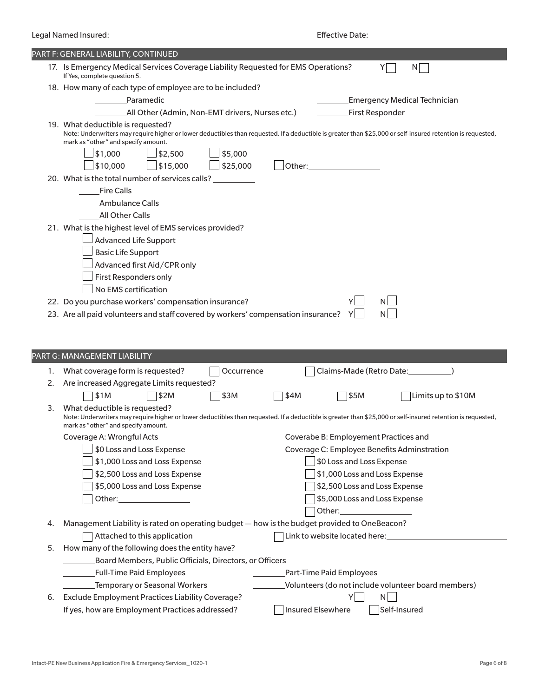| PART F: GENERAL LIABILITY, CONTINUED<br>17. Is Emergency Medical Services Coverage Liability Requested for EMS Operations?<br>Y<br>N<br>If Yes, complete question 5.<br>18. How many of each type of employee are to be included?<br>Paramedic<br><b>Emergency Medical Technician</b><br>First Responder<br>All Other (Admin, Non-EMT drivers, Nurses etc.)<br>19. What deductible is requested?<br>Note: Underwriters may require higher or lower deductibles than requested. If a deductible is greater than \$25,000 or self-insured retention is requested,<br>mark as "other" and specify amount.<br>$\frac{1}{2}$ \$1,000<br>$\frac{1}{2}$ \$5,000<br>\$2,500<br>\$25,000<br>\$10,000<br>\$15,000<br>Other:<br>20. What is the total number of services calls?<br><b>Fire Calls</b><br>Ambulance Calls<br>All Other Calls<br>21. What is the highest level of EMS services provided?<br><b>Advanced Life Support</b><br><b>Basic Life Support</b><br>Advanced first Aid/CPR only<br>First Responders only<br>No EMS certification<br>$N$  <br>22. Do you purchase workers' compensation insurance?<br>N<br>23. Are all paid volunteers and staff covered by workers' compensation insurance?<br>Y I<br>PART G: MANAGEMENT LIABILITY<br>Claims-Made (Retro Date:_________<br>What coverage form is requested?<br>Occurrence<br>1.<br>Are increased Aggregate Limits requested?<br>2.<br>\$1M<br>\$2M<br>\$3M<br>\$4M<br>\$5M<br>Limits up to \$10M<br>What deductible is requested?<br>3.<br>Note: Underwriters may require higher or lower deductibles than requested. If a deductible is greater than \$25,000 or self-insured retention is requested,<br>mark as "other" and specify amount.<br>Coverabe B: Employement Practices and<br>Coverage A: Wrongful Acts<br>\$0 Loss and Loss Expense<br>Coverage C: Employee Benefits Adminstration<br>\$1,000 Loss and Loss Expense<br>\$0 Loss and Loss Expense<br>\$2,500 Loss and Loss Expense<br>\$1,000 Loss and Loss Expense<br>\$2,500 Loss and Loss Expense<br>\$5,000 Loss and Loss Expense<br>\$5,000 Loss and Loss Expense<br>Other: and the contract of the contract of the contract of the contract of the contract of the contract of the<br>Management Liability is rated on operating budget - how is the budget provided to OneBeacon?<br>4.<br>Link to website located here: | Legal Named Insured:         |  | <b>Effective Date:</b> |  |
|----------------------------------------------------------------------------------------------------------------------------------------------------------------------------------------------------------------------------------------------------------------------------------------------------------------------------------------------------------------------------------------------------------------------------------------------------------------------------------------------------------------------------------------------------------------------------------------------------------------------------------------------------------------------------------------------------------------------------------------------------------------------------------------------------------------------------------------------------------------------------------------------------------------------------------------------------------------------------------------------------------------------------------------------------------------------------------------------------------------------------------------------------------------------------------------------------------------------------------------------------------------------------------------------------------------------------------------------------------------------------------------------------------------------------------------------------------------------------------------------------------------------------------------------------------------------------------------------------------------------------------------------------------------------------------------------------------------------------------------------------------------------------------------------------------------------------------------------------------------------------------------------------------------------------------------------------------------------------------------------------------------------------------------------------------------------------------------------------------------------------------------------------------------------------------------------------------------------------------------------------------------------------------------------------------------------------------------------------|------------------------------|--|------------------------|--|
|                                                                                                                                                                                                                                                                                                                                                                                                                                                                                                                                                                                                                                                                                                                                                                                                                                                                                                                                                                                                                                                                                                                                                                                                                                                                                                                                                                                                                                                                                                                                                                                                                                                                                                                                                                                                                                                                                                                                                                                                                                                                                                                                                                                                                                                                                                                                                    |                              |  |                        |  |
|                                                                                                                                                                                                                                                                                                                                                                                                                                                                                                                                                                                                                                                                                                                                                                                                                                                                                                                                                                                                                                                                                                                                                                                                                                                                                                                                                                                                                                                                                                                                                                                                                                                                                                                                                                                                                                                                                                                                                                                                                                                                                                                                                                                                                                                                                                                                                    |                              |  |                        |  |
|                                                                                                                                                                                                                                                                                                                                                                                                                                                                                                                                                                                                                                                                                                                                                                                                                                                                                                                                                                                                                                                                                                                                                                                                                                                                                                                                                                                                                                                                                                                                                                                                                                                                                                                                                                                                                                                                                                                                                                                                                                                                                                                                                                                                                                                                                                                                                    |                              |  |                        |  |
|                                                                                                                                                                                                                                                                                                                                                                                                                                                                                                                                                                                                                                                                                                                                                                                                                                                                                                                                                                                                                                                                                                                                                                                                                                                                                                                                                                                                                                                                                                                                                                                                                                                                                                                                                                                                                                                                                                                                                                                                                                                                                                                                                                                                                                                                                                                                                    |                              |  |                        |  |
|                                                                                                                                                                                                                                                                                                                                                                                                                                                                                                                                                                                                                                                                                                                                                                                                                                                                                                                                                                                                                                                                                                                                                                                                                                                                                                                                                                                                                                                                                                                                                                                                                                                                                                                                                                                                                                                                                                                                                                                                                                                                                                                                                                                                                                                                                                                                                    |                              |  |                        |  |
|                                                                                                                                                                                                                                                                                                                                                                                                                                                                                                                                                                                                                                                                                                                                                                                                                                                                                                                                                                                                                                                                                                                                                                                                                                                                                                                                                                                                                                                                                                                                                                                                                                                                                                                                                                                                                                                                                                                                                                                                                                                                                                                                                                                                                                                                                                                                                    |                              |  |                        |  |
|                                                                                                                                                                                                                                                                                                                                                                                                                                                                                                                                                                                                                                                                                                                                                                                                                                                                                                                                                                                                                                                                                                                                                                                                                                                                                                                                                                                                                                                                                                                                                                                                                                                                                                                                                                                                                                                                                                                                                                                                                                                                                                                                                                                                                                                                                                                                                    |                              |  |                        |  |
|                                                                                                                                                                                                                                                                                                                                                                                                                                                                                                                                                                                                                                                                                                                                                                                                                                                                                                                                                                                                                                                                                                                                                                                                                                                                                                                                                                                                                                                                                                                                                                                                                                                                                                                                                                                                                                                                                                                                                                                                                                                                                                                                                                                                                                                                                                                                                    |                              |  |                        |  |
|                                                                                                                                                                                                                                                                                                                                                                                                                                                                                                                                                                                                                                                                                                                                                                                                                                                                                                                                                                                                                                                                                                                                                                                                                                                                                                                                                                                                                                                                                                                                                                                                                                                                                                                                                                                                                                                                                                                                                                                                                                                                                                                                                                                                                                                                                                                                                    |                              |  |                        |  |
|                                                                                                                                                                                                                                                                                                                                                                                                                                                                                                                                                                                                                                                                                                                                                                                                                                                                                                                                                                                                                                                                                                                                                                                                                                                                                                                                                                                                                                                                                                                                                                                                                                                                                                                                                                                                                                                                                                                                                                                                                                                                                                                                                                                                                                                                                                                                                    |                              |  |                        |  |
|                                                                                                                                                                                                                                                                                                                                                                                                                                                                                                                                                                                                                                                                                                                                                                                                                                                                                                                                                                                                                                                                                                                                                                                                                                                                                                                                                                                                                                                                                                                                                                                                                                                                                                                                                                                                                                                                                                                                                                                                                                                                                                                                                                                                                                                                                                                                                    |                              |  |                        |  |
|                                                                                                                                                                                                                                                                                                                                                                                                                                                                                                                                                                                                                                                                                                                                                                                                                                                                                                                                                                                                                                                                                                                                                                                                                                                                                                                                                                                                                                                                                                                                                                                                                                                                                                                                                                                                                                                                                                                                                                                                                                                                                                                                                                                                                                                                                                                                                    |                              |  |                        |  |
|                                                                                                                                                                                                                                                                                                                                                                                                                                                                                                                                                                                                                                                                                                                                                                                                                                                                                                                                                                                                                                                                                                                                                                                                                                                                                                                                                                                                                                                                                                                                                                                                                                                                                                                                                                                                                                                                                                                                                                                                                                                                                                                                                                                                                                                                                                                                                    |                              |  |                        |  |
|                                                                                                                                                                                                                                                                                                                                                                                                                                                                                                                                                                                                                                                                                                                                                                                                                                                                                                                                                                                                                                                                                                                                                                                                                                                                                                                                                                                                                                                                                                                                                                                                                                                                                                                                                                                                                                                                                                                                                                                                                                                                                                                                                                                                                                                                                                                                                    |                              |  |                        |  |
|                                                                                                                                                                                                                                                                                                                                                                                                                                                                                                                                                                                                                                                                                                                                                                                                                                                                                                                                                                                                                                                                                                                                                                                                                                                                                                                                                                                                                                                                                                                                                                                                                                                                                                                                                                                                                                                                                                                                                                                                                                                                                                                                                                                                                                                                                                                                                    |                              |  |                        |  |
|                                                                                                                                                                                                                                                                                                                                                                                                                                                                                                                                                                                                                                                                                                                                                                                                                                                                                                                                                                                                                                                                                                                                                                                                                                                                                                                                                                                                                                                                                                                                                                                                                                                                                                                                                                                                                                                                                                                                                                                                                                                                                                                                                                                                                                                                                                                                                    |                              |  |                        |  |
|                                                                                                                                                                                                                                                                                                                                                                                                                                                                                                                                                                                                                                                                                                                                                                                                                                                                                                                                                                                                                                                                                                                                                                                                                                                                                                                                                                                                                                                                                                                                                                                                                                                                                                                                                                                                                                                                                                                                                                                                                                                                                                                                                                                                                                                                                                                                                    |                              |  |                        |  |
|                                                                                                                                                                                                                                                                                                                                                                                                                                                                                                                                                                                                                                                                                                                                                                                                                                                                                                                                                                                                                                                                                                                                                                                                                                                                                                                                                                                                                                                                                                                                                                                                                                                                                                                                                                                                                                                                                                                                                                                                                                                                                                                                                                                                                                                                                                                                                    |                              |  |                        |  |
|                                                                                                                                                                                                                                                                                                                                                                                                                                                                                                                                                                                                                                                                                                                                                                                                                                                                                                                                                                                                                                                                                                                                                                                                                                                                                                                                                                                                                                                                                                                                                                                                                                                                                                                                                                                                                                                                                                                                                                                                                                                                                                                                                                                                                                                                                                                                                    |                              |  |                        |  |
|                                                                                                                                                                                                                                                                                                                                                                                                                                                                                                                                                                                                                                                                                                                                                                                                                                                                                                                                                                                                                                                                                                                                                                                                                                                                                                                                                                                                                                                                                                                                                                                                                                                                                                                                                                                                                                                                                                                                                                                                                                                                                                                                                                                                                                                                                                                                                    |                              |  |                        |  |
|                                                                                                                                                                                                                                                                                                                                                                                                                                                                                                                                                                                                                                                                                                                                                                                                                                                                                                                                                                                                                                                                                                                                                                                                                                                                                                                                                                                                                                                                                                                                                                                                                                                                                                                                                                                                                                                                                                                                                                                                                                                                                                                                                                                                                                                                                                                                                    |                              |  |                        |  |
|                                                                                                                                                                                                                                                                                                                                                                                                                                                                                                                                                                                                                                                                                                                                                                                                                                                                                                                                                                                                                                                                                                                                                                                                                                                                                                                                                                                                                                                                                                                                                                                                                                                                                                                                                                                                                                                                                                                                                                                                                                                                                                                                                                                                                                                                                                                                                    |                              |  |                        |  |
|                                                                                                                                                                                                                                                                                                                                                                                                                                                                                                                                                                                                                                                                                                                                                                                                                                                                                                                                                                                                                                                                                                                                                                                                                                                                                                                                                                                                                                                                                                                                                                                                                                                                                                                                                                                                                                                                                                                                                                                                                                                                                                                                                                                                                                                                                                                                                    |                              |  |                        |  |
|                                                                                                                                                                                                                                                                                                                                                                                                                                                                                                                                                                                                                                                                                                                                                                                                                                                                                                                                                                                                                                                                                                                                                                                                                                                                                                                                                                                                                                                                                                                                                                                                                                                                                                                                                                                                                                                                                                                                                                                                                                                                                                                                                                                                                                                                                                                                                    |                              |  |                        |  |
|                                                                                                                                                                                                                                                                                                                                                                                                                                                                                                                                                                                                                                                                                                                                                                                                                                                                                                                                                                                                                                                                                                                                                                                                                                                                                                                                                                                                                                                                                                                                                                                                                                                                                                                                                                                                                                                                                                                                                                                                                                                                                                                                                                                                                                                                                                                                                    |                              |  |                        |  |
|                                                                                                                                                                                                                                                                                                                                                                                                                                                                                                                                                                                                                                                                                                                                                                                                                                                                                                                                                                                                                                                                                                                                                                                                                                                                                                                                                                                                                                                                                                                                                                                                                                                                                                                                                                                                                                                                                                                                                                                                                                                                                                                                                                                                                                                                                                                                                    | Attached to this application |  |                        |  |

| 5. How many of the following does the entity have?      |
|---------------------------------------------------------|
| Board Members, Public Officials, Directors, or Officers |

| <u>buard interlibers, Fublic Officials, Directors, OF Officers</u> |                                                     |  |
|--------------------------------------------------------------------|-----------------------------------------------------|--|
| <b>Full-Time Paid Employees</b>                                    | Part-Time Paid Employees                            |  |
| <b>Temporary or Seasonal Workers</b>                               | Volunteers (do not include volunteer board members) |  |
| Exclude Employment Practices Liability Coverage?                   | N                                                   |  |

| 6. Exclude Employment Practices Liability Coverage? |                   | $N$          |
|-----------------------------------------------------|-------------------|--------------|
| If yes, how are Employment Practices addressed?     | Insured Elsewhere | Self-Insured |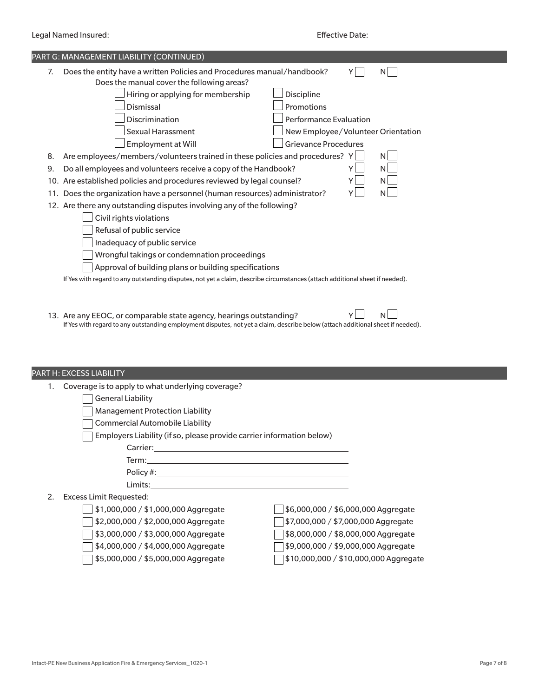|                                              | PART G: MANAGEMENT LIABILITY (CONTINUED)                                                                                     |  |  |  |  |
|----------------------------------------------|------------------------------------------------------------------------------------------------------------------------------|--|--|--|--|
| 7.                                           | Does the entity have a written Policies and Procedures manual/handbook?<br>N<br>Does the manual cover the following areas?   |  |  |  |  |
|                                              | Hiring or applying for membership<br>Discipline                                                                              |  |  |  |  |
|                                              | Promotions<br>Dismissal                                                                                                      |  |  |  |  |
|                                              | Discrimination<br><b>Performance Evaluation</b>                                                                              |  |  |  |  |
|                                              | <b>Sexual Harassment</b><br>New Employee/Volunteer Orientation                                                               |  |  |  |  |
|                                              | <b>Grievance Procedures</b><br>Employment at Will                                                                            |  |  |  |  |
| 8.                                           | Are employees/members/volunteers trained in these policies and procedures? Y<br>N.                                           |  |  |  |  |
| 9.                                           | Do all employees and volunteers receive a copy of the Handbook?<br>N.                                                        |  |  |  |  |
|                                              | N.<br>10. Are established policies and procedures reviewed by legal counsel?                                                 |  |  |  |  |
| 11.                                          | ΝI<br>Does the organization have a personnel (human resources) administrator?                                                |  |  |  |  |
|                                              | 12. Are there any outstanding disputes involving any of the following?                                                       |  |  |  |  |
|                                              | Civil rights violations                                                                                                      |  |  |  |  |
|                                              | Refusal of public service                                                                                                    |  |  |  |  |
|                                              | Inadequacy of public service                                                                                                 |  |  |  |  |
| Wrongful takings or condemnation proceedings |                                                                                                                              |  |  |  |  |
|                                              | Approval of building plans or building specifications                                                                        |  |  |  |  |
|                                              | If Yes with regard to any outstanding disputes, not yet a claim, describe circumstances (attach additional sheet if needed). |  |  |  |  |
|                                              |                                                                                                                              |  |  |  |  |

13. Are any EEOC, or comparable state agency, hearings outstanding?  $Y \Box \neg N \Box$ If Yes with regard to any outstanding employment disputes, not yet a claim, describe below (attach additional sheet if needed).

#### PART H: EXCESS LIABILITY

|  | Coverage is to apply to what underlying coverage? |  |  |  |
|--|---------------------------------------------------|--|--|--|
|--|---------------------------------------------------|--|--|--|

### General Liability

Management Protection Liability

Commercial Automobile Liability

Carrier:

 $\Box$  Employers Liability (if so, please provide carrier information below)

| Term:     |
|-----------|
| Policy #: |
| Limits:   |

#### 2. Excess Limit Requested:

- 
- \$1,000,000 / \$1,000,000 Aggregate \$6,000,000 / \$6,000,000 Aggregate  $\sqrt{\frac{2}{32,000,000}}$  / \$2,000,000 Aggregate  $\sqrt{\frac{2}{37,000,000}}$  / \$7,000,000 Aggregate \$3,000,000 / \$3,000,000 Aggregate \$8,000,000 / \$8,000,000 Aggregate \$4,000,000 / \$4,000,000 Aggregate \$9,000,000 / \$9,000,000 Aggregate \$5,000,000 / \$5,000,000 Aggregate \$10,000,000 / \$10,000,000 Aggregate